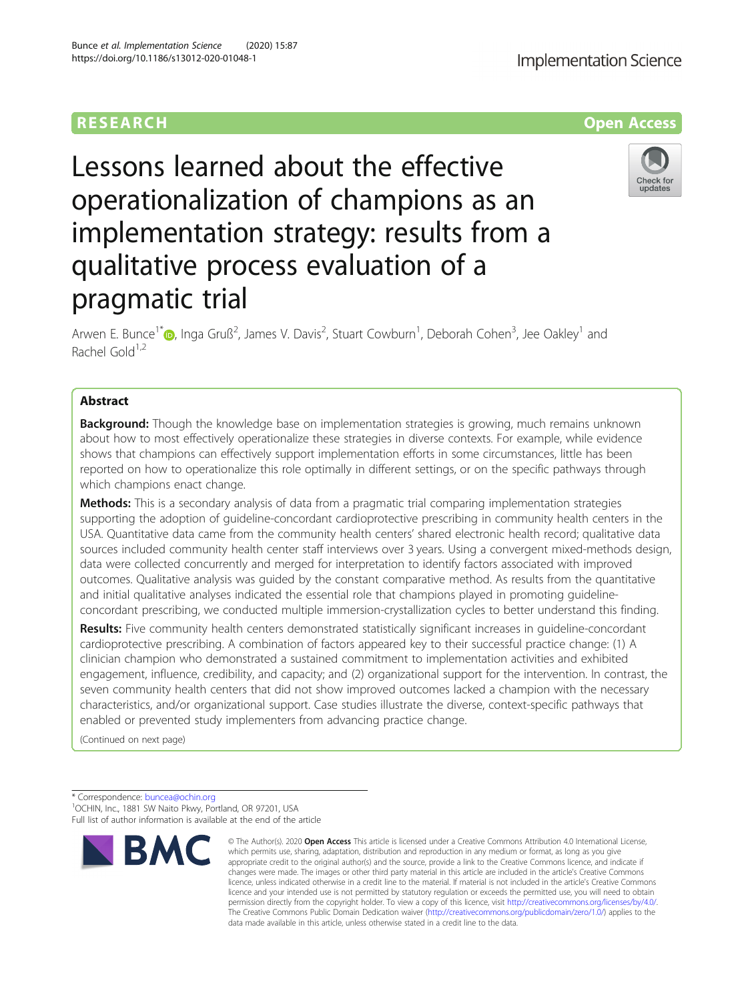# RESEARCH **RESEARCH CONSUMING THE CONSUMING THE CONSUMING THE CONSUMING TEAM Open Access**

Lessons learned about the effective operationalization of champions as an implementation strategy: results from a qualitative process evaluation of a pragmatic trial

Arwen E. Bunce<sup>1[\\*](http://orcid.org/0000-0003-2243-972X)</sup>®, Inga Gruß<sup>2</sup>, James V. Davis<sup>2</sup>, Stuart Cowburn<sup>1</sup>, Deborah Cohen<sup>3</sup>, Jee Oakley<sup>1</sup> and Rachel Gold $^{1,2}$ 

# Abstract

**Background:** Though the knowledge base on implementation strategies is growing, much remains unknown about how to most effectively operationalize these strategies in diverse contexts. For example, while evidence shows that champions can effectively support implementation efforts in some circumstances, little has been reported on how to operationalize this role optimally in different settings, or on the specific pathways through which champions enact change.

**Methods:** This is a secondary analysis of data from a pragmatic trial comparing implementation strategies supporting the adoption of guideline-concordant cardioprotective prescribing in community health centers in the USA. Quantitative data came from the community health centers' shared electronic health record; qualitative data sources included community health center staff interviews over 3 years. Using a convergent mixed-methods design, data were collected concurrently and merged for interpretation to identify factors associated with improved outcomes. Qualitative analysis was guided by the constant comparative method. As results from the quantitative and initial qualitative analyses indicated the essential role that champions played in promoting guidelineconcordant prescribing, we conducted multiple immersion-crystallization cycles to better understand this finding.

Results: Five community health centers demonstrated statistically significant increases in quideline-concordant cardioprotective prescribing. A combination of factors appeared key to their successful practice change: (1) A clinician champion who demonstrated a sustained commitment to implementation activities and exhibited engagement, influence, credibility, and capacity; and (2) organizational support for the intervention. In contrast, the seven community health centers that did not show improved outcomes lacked a champion with the necessary characteristics, and/or organizational support. Case studies illustrate the diverse, context-specific pathways that enabled or prevented study implementers from advancing practice change.

(Continued on next page)

\* Correspondence: [buncea@ochin.org](mailto:buncea@ochin.org) <sup>1</sup> <sup>1</sup>OCHIN, Inc., 1881 SW Naito Pkwy, Portland, OR 97201, USA Full list of author information is available at the end of the article



data made available in this article, unless otherwise stated in a credit line to the data.

© The Author(s), 2020 **Open Access** This article is licensed under a Creative Commons Attribution 4.0 International License,



Check for updates

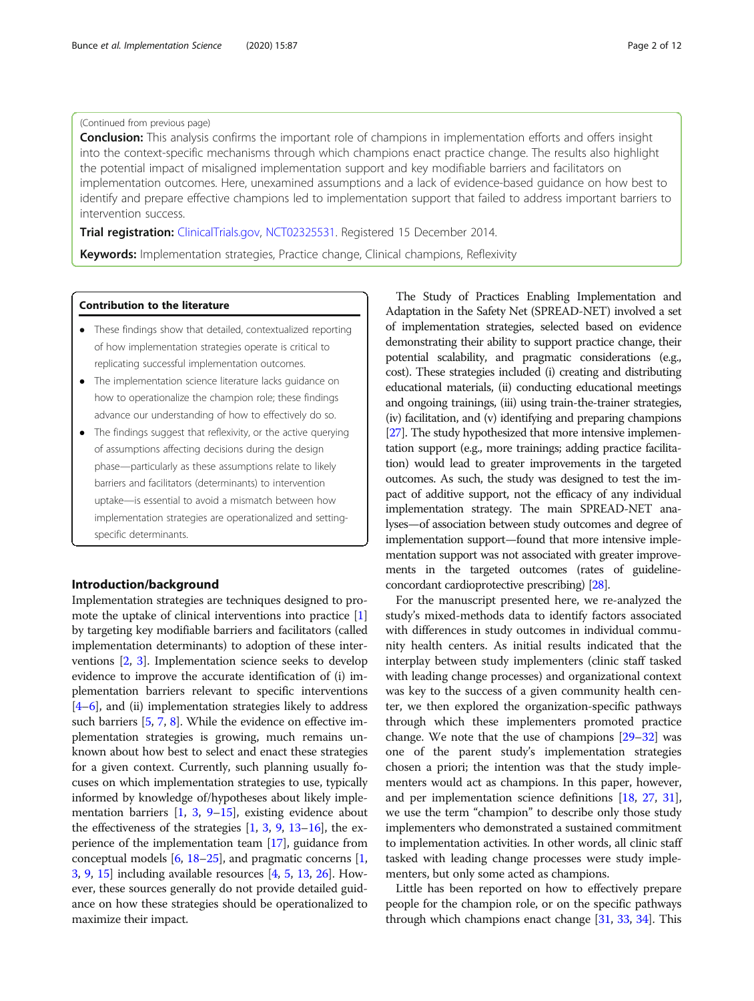## <span id="page-1-0"></span>(Continued from previous page)

**Conclusion:** This analysis confirms the important role of champions in implementation efforts and offers insight into the context-specific mechanisms through which champions enact practice change. The results also highlight the potential impact of misaligned implementation support and key modifiable barriers and facilitators on implementation outcomes. Here, unexamined assumptions and a lack of evidence-based guidance on how best to identify and prepare effective champions led to implementation support that failed to address important barriers to intervention success.

Trial registration: [ClinicalTrials.gov](http://clinicaltrials.gov), [NCT02325531.](https://clinicaltrials.gov/ct2/show/NCT02325531?term=NCT02325531&draw=2&rank=1) Registered 15 December 2014.

Keywords: Implementation strategies, Practice change, Clinical champions, Reflexivity

## Contribution to the literature

- These findings show that detailed, contextualized reporting of how implementation strategies operate is critical to replicating successful implementation outcomes.
- The implementation science literature lacks guidance on how to operationalize the champion role; these findings advance our understanding of how to effectively do so.
- The findings suggest that reflexivity, or the active querying of assumptions affecting decisions during the design phase—particularly as these assumptions relate to likely barriers and facilitators (determinants) to intervention uptake—is essential to avoid a mismatch between how implementation strategies are operationalized and settingspecific determinants.

## Introduction/background

Implementation strategies are techniques designed to promote the uptake of clinical interventions into practice [[1](#page-10-0)] by targeting key modifiable barriers and facilitators (called implementation determinants) to adoption of these interventions [\[2](#page-10-0), [3\]](#page-10-0). Implementation science seeks to develop evidence to improve the accurate identification of (i) implementation barriers relevant to specific interventions [[4](#page-10-0)–[6](#page-10-0)], and (ii) implementation strategies likely to address such barriers [[5,](#page-10-0) [7](#page-10-0), [8](#page-10-0)]. While the evidence on effective implementation strategies is growing, much remains unknown about how best to select and enact these strategies for a given context. Currently, such planning usually focuses on which implementation strategies to use, typically informed by knowledge of/hypotheses about likely implementation barriers [\[1](#page-10-0), [3,](#page-10-0) [9](#page-10-0)–[15\]](#page-10-0), existing evidence about the effectiveness of the strategies [\[1,](#page-10-0) [3](#page-10-0), [9,](#page-10-0) [13](#page-10-0)–[16](#page-10-0)], the experience of the implementation team [[17](#page-10-0)], guidance from conceptual models [[6,](#page-10-0) [18](#page-10-0)–[25\]](#page-10-0), and pragmatic concerns [[1](#page-10-0), [3,](#page-10-0) [9,](#page-10-0) [15\]](#page-10-0) including available resources [[4](#page-10-0), [5,](#page-10-0) [13](#page-10-0), [26](#page-10-0)]. However, these sources generally do not provide detailed guidance on how these strategies should be operationalized to maximize their impact.

The Study of Practices Enabling Implementation and Adaptation in the Safety Net (SPREAD-NET) involved a set of implementation strategies, selected based on evidence demonstrating their ability to support practice change, their potential scalability, and pragmatic considerations (e.g., cost). These strategies included (i) creating and distributing educational materials, (ii) conducting educational meetings and ongoing trainings, (iii) using train-the-trainer strategies, (iv) facilitation, and (v) identifying and preparing champions [[27](#page-10-0)]. The study hypothesized that more intensive implementation support (e.g., more trainings; adding practice facilitation) would lead to greater improvements in the targeted outcomes. As such, the study was designed to test the impact of additive support, not the efficacy of any individual implementation strategy. The main SPREAD-NET analyses—of association between study outcomes and degree of implementation support—found that more intensive implementation support was not associated with greater improvements in the targeted outcomes (rates of guidelineconcordant cardioprotective prescribing) [\[28](#page-10-0)].

For the manuscript presented here, we re-analyzed the study's mixed-methods data to identify factors associated with differences in study outcomes in individual community health centers. As initial results indicated that the interplay between study implementers (clinic staff tasked with leading change processes) and organizational context was key to the success of a given community health center, we then explored the organization-specific pathways through which these implementers promoted practice change. We note that the use of champions [[29](#page-10-0)–[32\]](#page-10-0) was one of the parent study's implementation strategies chosen a priori; the intention was that the study implementers would act as champions. In this paper, however, and per implementation science definitions [[18](#page-10-0), [27](#page-10-0), [31](#page-10-0)], we use the term "champion" to describe only those study implementers who demonstrated a sustained commitment to implementation activities. In other words, all clinic staff tasked with leading change processes were study implementers, but only some acted as champions.

Little has been reported on how to effectively prepare people for the champion role, or on the specific pathways through which champions enact change [[31](#page-10-0), [33](#page-10-0), [34](#page-10-0)]. This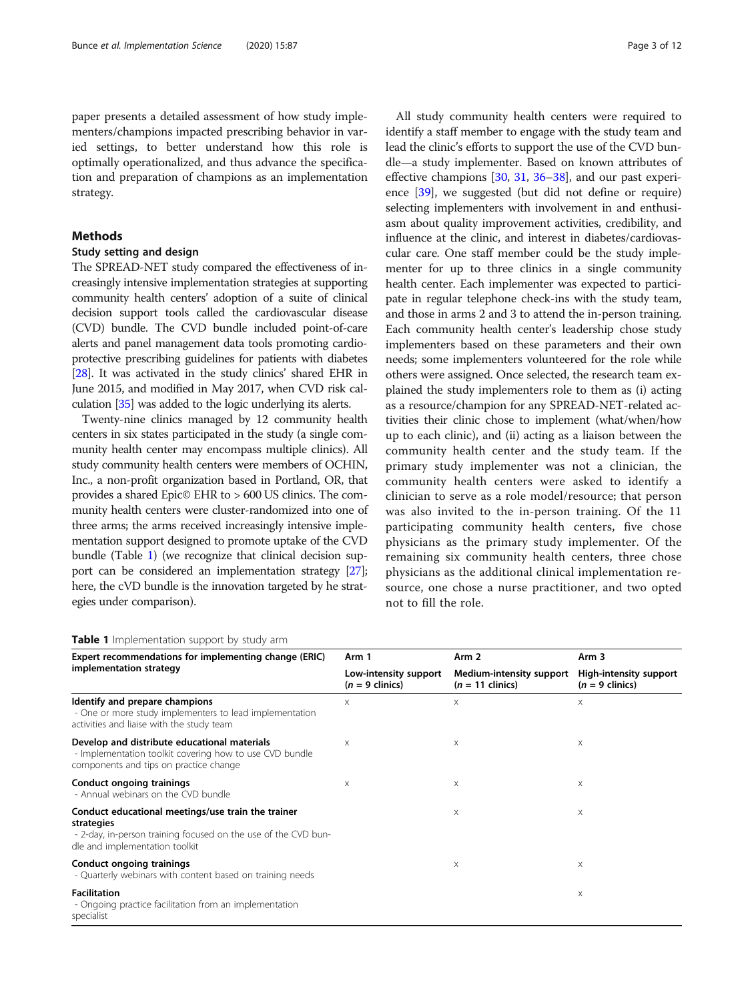<span id="page-2-0"></span>paper presents a detailed assessment of how study implementers/champions impacted prescribing behavior in varied settings, to better understand how this role is optimally operationalized, and thus advance the specification and preparation of champions as an implementation strategy.

# Methods

# Study setting and design

The SPREAD-NET study compared the effectiveness of increasingly intensive implementation strategies at supporting community health centers' adoption of a suite of clinical decision support tools called the cardiovascular disease (CVD) bundle. The CVD bundle included point-of-care alerts and panel management data tools promoting cardioprotective prescribing guidelines for patients with diabetes [[28](#page-10-0)]. It was activated in the study clinics' shared EHR in June 2015, and modified in May 2017, when CVD risk calculation [[35](#page-10-0)] was added to the logic underlying its alerts.

Twenty-nine clinics managed by 12 community health centers in six states participated in the study (a single community health center may encompass multiple clinics). All study community health centers were members of OCHIN, Inc., a non-profit organization based in Portland, OR, that provides a shared Epic© EHR to > 600 US clinics. The community health centers were cluster-randomized into one of three arms; the arms received increasingly intensive implementation support designed to promote uptake of the CVD bundle (Table 1) (we recognize that clinical decision support can be considered an implementation strategy [\[27](#page-10-0)]; here, the cVD bundle is the innovation targeted by he strategies under comparison).

All study community health centers were required to identify a staff member to engage with the study team and lead the clinic's efforts to support the use of the CVD bundle—a study implementer. Based on known attributes of effective champions [\[30,](#page-10-0) [31,](#page-10-0) [36](#page-10-0)–[38\]](#page-10-0), and our past experience [[39](#page-10-0)], we suggested (but did not define or require) selecting implementers with involvement in and enthusiasm about quality improvement activities, credibility, and influence at the clinic, and interest in diabetes/cardiovascular care. One staff member could be the study implementer for up to three clinics in a single community health center. Each implementer was expected to participate in regular telephone check-ins with the study team, and those in arms 2 and 3 to attend the in-person training. Each community health center's leadership chose study implementers based on these parameters and their own needs; some implementers volunteered for the role while others were assigned. Once selected, the research team explained the study implementers role to them as (i) acting as a resource/champion for any SPREAD-NET-related activities their clinic chose to implement (what/when/how up to each clinic), and (ii) acting as a liaison between the community health center and the study team. If the primary study implementer was not a clinician, the community health centers were asked to identify a clinician to serve as a role model/resource; that person was also invited to the in-person training. Of the 11 participating community health centers, five chose physicians as the primary study implementer. Of the remaining six community health centers, three chose physicians as the additional clinical implementation resource, one chose a nurse practitioner, and two opted not to fill the role.

#### Table 1 Implementation support by study arm

| Expert recommendations for implementing change (ERIC)<br>implementation strategy                                                                                     | Arm 1                                              | Arm <sub>2</sub>                                      | Arm 3                                               |
|----------------------------------------------------------------------------------------------------------------------------------------------------------------------|----------------------------------------------------|-------------------------------------------------------|-----------------------------------------------------|
|                                                                                                                                                                      | Low-intensity support<br>$(n = 9 \text{ clinics})$ | <b>Medium-intensity support</b><br>$(n = 11$ clinics) | High-intensity support<br>$(n = 9 \text{ clinics})$ |
| Identify and prepare champions<br>- One or more study implementers to lead implementation<br>activities and liaise with the study team                               | $\times$                                           | $\times$                                              | $\times$                                            |
| Develop and distribute educational materials<br>- Implementation toolkit covering how to use CVD bundle<br>components and tips on practice change                    | $\times$                                           | X                                                     | Χ                                                   |
| <b>Conduct ongoing trainings</b><br>- Annual webinars on the CVD bundle                                                                                              | X                                                  | X                                                     | $\times$                                            |
| Conduct educational meetings/use train the trainer<br>strategies<br>- 2-day, in-person training focused on the use of the CVD bun-<br>dle and implementation toolkit |                                                    | X                                                     | X                                                   |
| <b>Conduct ongoing trainings</b><br>- Quarterly webinars with content based on training needs                                                                        |                                                    | X                                                     | X                                                   |
| <b>Facilitation</b><br>- Ongoing practice facilitation from an implementation<br>specialist                                                                          |                                                    |                                                       | X                                                   |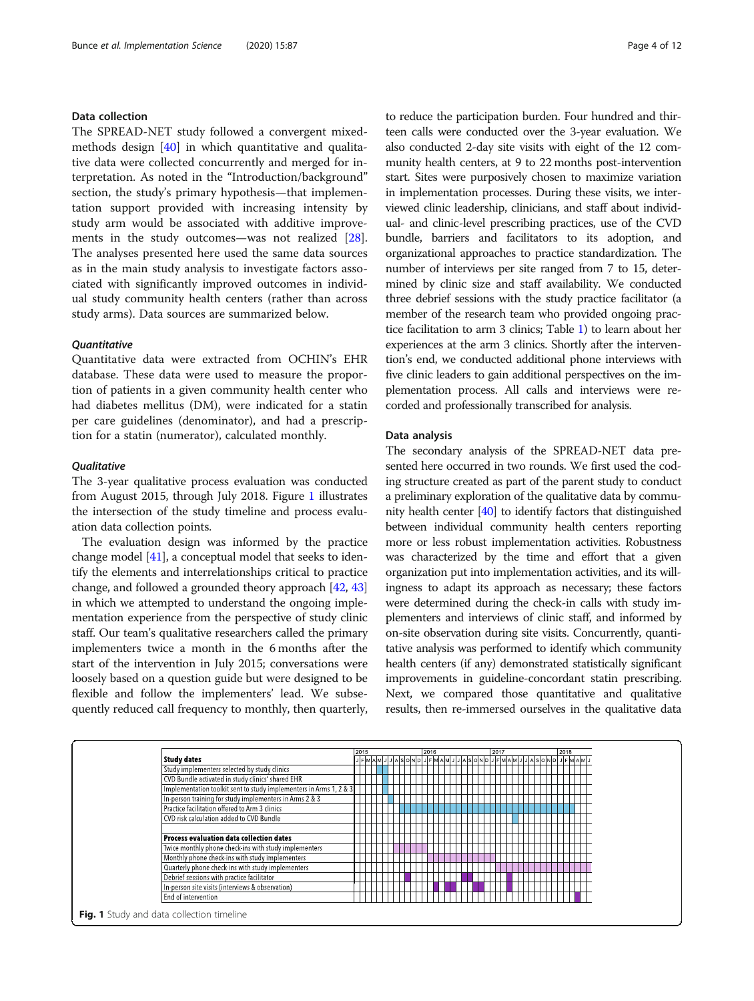# Data collection

The SPREAD-NET study followed a convergent mixedmethods design [[40](#page-11-0)] in which quantitative and qualitative data were collected concurrently and merged for interpretation. As noted in the "Introduction/background" section, the study's primary hypothesis—that implementation support provided with increasing intensity by study arm would be associated with additive improvements in the study outcomes—was not realized [\[28](#page-10-0)]. The analyses presented here used the same data sources as in the main study analysis to investigate factors associated with significantly improved outcomes in individual study community health centers (rather than across study arms). Data sources are summarized below.

#### **Quantitative**

Quantitative data were extracted from OCHIN's EHR database. These data were used to measure the proportion of patients in a given community health center who had diabetes mellitus (DM), were indicated for a statin per care guidelines (denominator), and had a prescription for a statin (numerator), calculated monthly.

#### **Oualitative**

The 3-year qualitative process evaluation was conducted from August 2015, through July 2018. Figure 1 illustrates the intersection of the study timeline and process evaluation data collection points.

The evaluation design was informed by the practice change model [\[41](#page-11-0)], a conceptual model that seeks to identify the elements and interrelationships critical to practice change, and followed a grounded theory approach [\[42,](#page-11-0) [43](#page-11-0)] in which we attempted to understand the ongoing implementation experience from the perspective of study clinic staff. Our team's qualitative researchers called the primary implementers twice a month in the 6 months after the start of the intervention in July 2015; conversations were loosely based on a question guide but were designed to be flexible and follow the implementers' lead. We subsequently reduced call frequency to monthly, then quarterly, to reduce the participation burden. Four hundred and thirteen calls were conducted over the 3-year evaluation. We also conducted 2-day site visits with eight of the 12 community health centers, at 9 to 22 months post-intervention start. Sites were purposively chosen to maximize variation in implementation processes. During these visits, we interviewed clinic leadership, clinicians, and staff about individual- and clinic-level prescribing practices, use of the CVD bundle, barriers and facilitators to its adoption, and organizational approaches to practice standardization. The number of interviews per site ranged from 7 to 15, determined by clinic size and staff availability. We conducted three debrief sessions with the study practice facilitator (a member of the research team who provided ongoing practice facilitation to arm 3 clinics; Table [1](#page-2-0)) to learn about her experiences at the arm 3 clinics. Shortly after the intervention's end, we conducted additional phone interviews with five clinic leaders to gain additional perspectives on the implementation process. All calls and interviews were recorded and professionally transcribed for analysis.

## Data analysis

The secondary analysis of the SPREAD-NET data presented here occurred in two rounds. We first used the coding structure created as part of the parent study to conduct a preliminary exploration of the qualitative data by community health center [\[40\]](#page-11-0) to identify factors that distinguished between individual community health centers reporting more or less robust implementation activities. Robustness was characterized by the time and effort that a given organization put into implementation activities, and its willingness to adapt its approach as necessary; these factors were determined during the check-in calls with study implementers and interviews of clinic staff, and informed by on-site observation during site visits. Concurrently, quantitative analysis was performed to identify which community health centers (if any) demonstrated statistically significant improvements in guideline-concordant statin prescribing. Next, we compared those quantitative and qualitative results, then re-immersed ourselves in the qualitative data

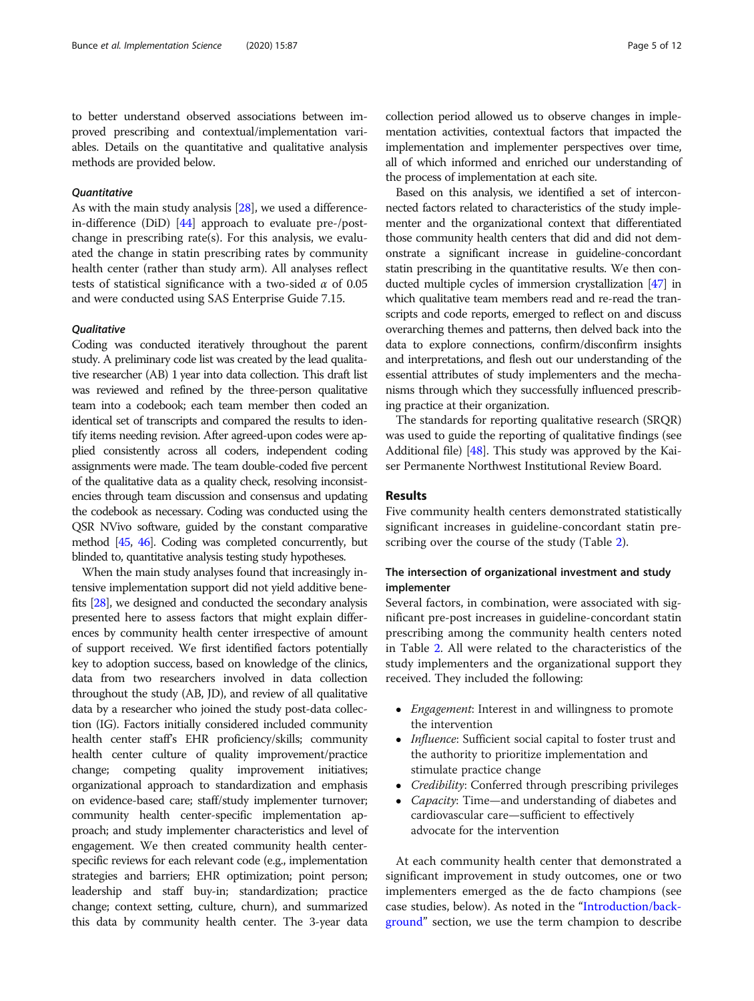to better understand observed associations between improved prescribing and contextual/implementation variables. Details on the quantitative and qualitative analysis methods are provided below.

## **Quantitative**

As with the main study analysis [[28](#page-10-0)], we used a differencein-difference (DiD) [\[44\]](#page-11-0) approach to evaluate pre-/postchange in prescribing rate(s). For this analysis, we evaluated the change in statin prescribing rates by community health center (rather than study arm). All analyses reflect tests of statistical significance with a two-sided  $\alpha$  of 0.05 and were conducted using SAS Enterprise Guide 7.15.

#### **Qualitative**

Coding was conducted iteratively throughout the parent study. A preliminary code list was created by the lead qualitative researcher (AB) 1 year into data collection. This draft list was reviewed and refined by the three-person qualitative team into a codebook; each team member then coded an identical set of transcripts and compared the results to identify items needing revision. After agreed-upon codes were applied consistently across all coders, independent coding assignments were made. The team double-coded five percent of the qualitative data as a quality check, resolving inconsistencies through team discussion and consensus and updating the codebook as necessary. Coding was conducted using the QSR NVivo software, guided by the constant comparative method [[45,](#page-11-0) [46](#page-11-0)]. Coding was completed concurrently, but blinded to, quantitative analysis testing study hypotheses.

When the main study analyses found that increasingly intensive implementation support did not yield additive benefits [\[28\]](#page-10-0), we designed and conducted the secondary analysis presented here to assess factors that might explain differences by community health center irrespective of amount of support received. We first identified factors potentially key to adoption success, based on knowledge of the clinics, data from two researchers involved in data collection throughout the study (AB, JD), and review of all qualitative data by a researcher who joined the study post-data collection (IG). Factors initially considered included community health center staff's EHR proficiency/skills; community health center culture of quality improvement/practice change; competing quality improvement initiatives; organizational approach to standardization and emphasis on evidence-based care; staff/study implementer turnover; community health center-specific implementation approach; and study implementer characteristics and level of engagement. We then created community health centerspecific reviews for each relevant code (e.g., implementation strategies and barriers; EHR optimization; point person; leadership and staff buy-in; standardization; practice change; context setting, culture, churn), and summarized this data by community health center. The 3-year data

collection period allowed us to observe changes in implementation activities, contextual factors that impacted the implementation and implementer perspectives over time, all of which informed and enriched our understanding of the process of implementation at each site.

Based on this analysis, we identified a set of interconnected factors related to characteristics of the study implementer and the organizational context that differentiated those community health centers that did and did not demonstrate a significant increase in guideline-concordant statin prescribing in the quantitative results. We then conducted multiple cycles of immersion crystallization [[47](#page-11-0)] in which qualitative team members read and re-read the transcripts and code reports, emerged to reflect on and discuss overarching themes and patterns, then delved back into the data to explore connections, confirm/disconfirm insights and interpretations, and flesh out our understanding of the essential attributes of study implementers and the mechanisms through which they successfully influenced prescribing practice at their organization.

The standards for reporting qualitative research (SRQR) was used to guide the reporting of qualitative findings (see Additional file) [[48](#page-11-0)]. This study was approved by the Kaiser Permanente Northwest Institutional Review Board.

# Results

Five community health centers demonstrated statistically significant increases in guideline-concordant statin prescribing over the course of the study (Table [2\)](#page-5-0).

# The intersection of organizational investment and study implementer

Several factors, in combination, were associated with significant pre-post increases in guideline-concordant statin prescribing among the community health centers noted in Table [2.](#page-5-0) All were related to the characteristics of the study implementers and the organizational support they received. They included the following:

- *Engagement*: Interest in and willingness to promote the intervention
- Influence: Sufficient social capital to foster trust and the authority to prioritize implementation and stimulate practice change
- Credibility: Conferred through prescribing privileges
- *Capacity*: Time—and understanding of diabetes and cardiovascular care—sufficient to effectively advocate for the intervention

At each community health center that demonstrated a significant improvement in study outcomes, one or two implementers emerged as the de facto champions (see case studies, below). As noted in the "[Introduction/back](#page-1-0)[ground](#page-1-0)" section, we use the term champion to describe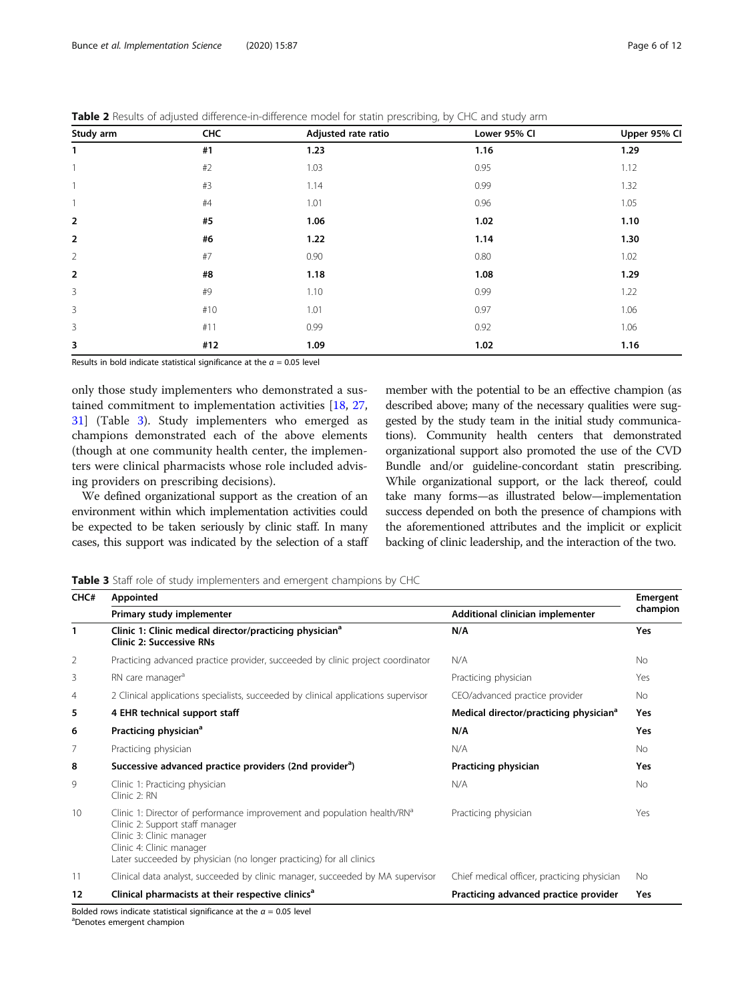<span id="page-5-0"></span>

| Table 2 Results of adjusted difference-in-difference model for statin prescribing, by CHC and study arm |  |
|---------------------------------------------------------------------------------------------------------|--|
|---------------------------------------------------------------------------------------------------------|--|

| Study arm      | <b>CHC</b> | Adjusted rate ratio | Lower 95% Cl | Upper 95% CI |
|----------------|------------|---------------------|--------------|--------------|
| 1              | #1         | 1.23                | 1.16         | 1.29         |
|                | #2         | 1.03                | 0.95         | 1.12         |
|                | #3         | 1.14                | 0.99         | 1.32         |
|                | #4         | 1.01                | 0.96         | 1.05         |
| $\overline{2}$ | #5         | 1.06                | 1.02         | 1.10         |
| $\overline{2}$ | #6         | 1.22                | 1.14         | 1.30         |
| $\overline{2}$ | #7         | 0.90                | 0.80         | 1.02         |
| $\overline{2}$ | #8         | 1.18                | 1.08         | 1.29         |
| $\overline{3}$ | #9         | 1.10                | 0.99         | 1.22         |
| 3              | #10        | 1.01                | 0.97         | 1.06         |
| 3              | #11        | 0.99                | 0.92         | 1.06         |
| 3              | #12        | 1.09                | 1.02         | 1.16         |

Results in bold indicate statistical significance at the  $\alpha$  = 0.05 level

only those study implementers who demonstrated a sustained commitment to implementation activities [\[18](#page-10-0), [27](#page-10-0), [31\]](#page-10-0) (Table 3). Study implementers who emerged as champions demonstrated each of the above elements (though at one community health center, the implementers were clinical pharmacists whose role included advising providers on prescribing decisions).

We defined organizational support as the creation of an environment within which implementation activities could be expected to be taken seriously by clinic staff. In many cases, this support was indicated by the selection of a staff member with the potential to be an effective champion (as described above; many of the necessary qualities were suggested by the study team in the initial study communications). Community health centers that demonstrated organizational support also promoted the use of the CVD Bundle and/or guideline-concordant statin prescribing. While organizational support, or the lack thereof, could take many forms—as illustrated below—implementation success depended on both the presence of champions with the aforementioned attributes and the implicit or explicit backing of clinic leadership, and the interaction of the two.

Table 3 Staff role of study implementers and emergent champions by CHC

| CHC#<br>Appointed                                                                                                                                                                                                                                     |                                                    |           |  |
|-------------------------------------------------------------------------------------------------------------------------------------------------------------------------------------------------------------------------------------------------------|----------------------------------------------------|-----------|--|
| Primary study implementer                                                                                                                                                                                                                             | Additional clinician implementer                   | champion  |  |
| Clinic 1: Clinic medical director/practicing physician <sup>a</sup><br><b>Clinic 2: Successive RNs</b>                                                                                                                                                | N/A                                                | Yes       |  |
| Practicing advanced practice provider, succeeded by clinic project coordinator                                                                                                                                                                        | N/A                                                | <b>No</b> |  |
| RN care manager <sup>a</sup>                                                                                                                                                                                                                          | Practicing physician                               | Yes       |  |
| 2 Clinical applications specialists, succeeded by clinical applications supervisor                                                                                                                                                                    | CEO/advanced practice provider                     | <b>No</b> |  |
| 4 EHR technical support staff                                                                                                                                                                                                                         | Medical director/practicing physician <sup>a</sup> | Yes       |  |
| Practicing physician <sup>a</sup>                                                                                                                                                                                                                     | N/A                                                | Yes       |  |
| Practicing physician                                                                                                                                                                                                                                  | N/A                                                | <b>No</b> |  |
| Successive advanced practice providers (2nd provider <sup>a</sup> )                                                                                                                                                                                   | Practicing physician                               | Yes       |  |
| Clinic 1: Practicing physician<br>Clinic 2: RN                                                                                                                                                                                                        | N/A                                                | <b>No</b> |  |
| Clinic 1: Director of performance improvement and population health/RN <sup>a</sup><br>Clinic 2: Support staff manager<br>Clinic 3: Clinic manager<br>Clinic 4: Clinic manager<br>Later succeeded by physician (no longer practicing) for all clinics | Practicing physician                               | Yes       |  |
| Clinical data analyst, succeeded by clinic manager, succeeded by MA supervisor                                                                                                                                                                        | Chief medical officer, practicing physician        | <b>No</b> |  |
| Clinical pharmacists at their respective clinics <sup>a</sup>                                                                                                                                                                                         | Practicing advanced practice provider              | Yes       |  |
|                                                                                                                                                                                                                                                       |                                                    |           |  |

Bolded rows indicate statistical significance at the α = 0.05 level<br><sup>a</sup>Denotes emergent champion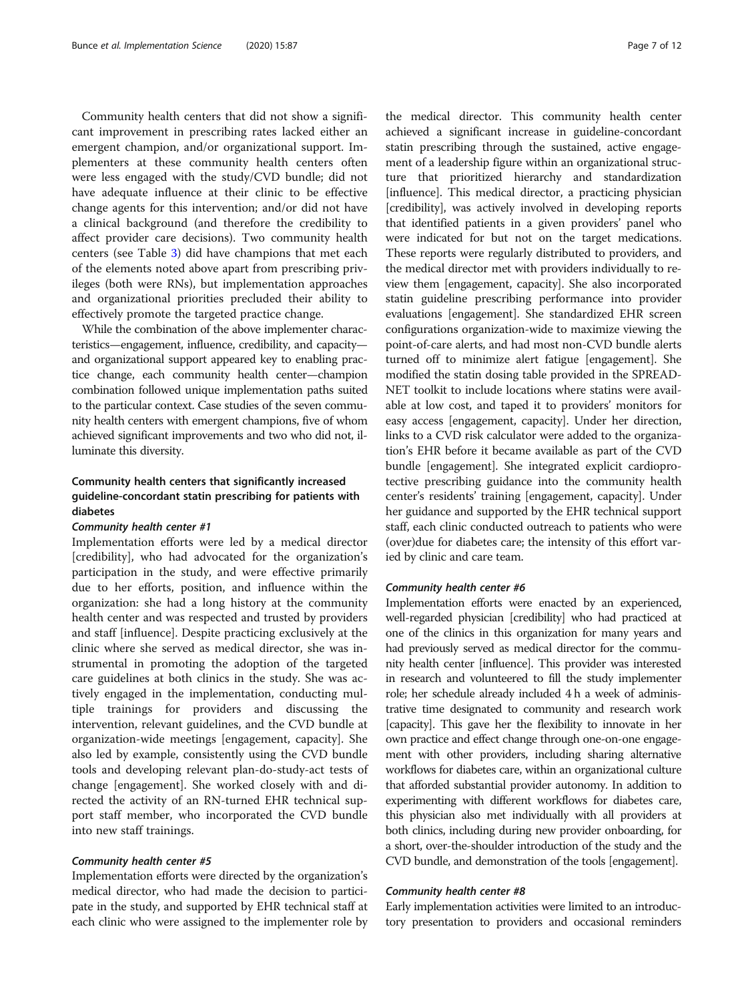Community health centers that did not show a significant improvement in prescribing rates lacked either an emergent champion, and/or organizational support. Implementers at these community health centers often were less engaged with the study/CVD bundle; did not have adequate influence at their clinic to be effective change agents for this intervention; and/or did not have a clinical background (and therefore the credibility to affect provider care decisions). Two community health centers (see Table [3](#page-5-0)) did have champions that met each of the elements noted above apart from prescribing privileges (both were RNs), but implementation approaches and organizational priorities precluded their ability to effectively promote the targeted practice change.

While the combination of the above implementer characteristics—engagement, influence, credibility, and capacity and organizational support appeared key to enabling practice change, each community health center—champion combination followed unique implementation paths suited to the particular context. Case studies of the seven community health centers with emergent champions, five of whom achieved significant improvements and two who did not, illuminate this diversity.

# Community health centers that significantly increased guideline-concordant statin prescribing for patients with diabetes

#### Community health center #1

Implementation efforts were led by a medical director [credibility], who had advocated for the organization's participation in the study, and were effective primarily due to her efforts, position, and influence within the organization: she had a long history at the community health center and was respected and trusted by providers and staff [influence]. Despite practicing exclusively at the clinic where she served as medical director, she was instrumental in promoting the adoption of the targeted care guidelines at both clinics in the study. She was actively engaged in the implementation, conducting multiple trainings for providers and discussing the intervention, relevant guidelines, and the CVD bundle at organization-wide meetings [engagement, capacity]. She also led by example, consistently using the CVD bundle tools and developing relevant plan-do-study-act tests of change [engagement]. She worked closely with and directed the activity of an RN-turned EHR technical support staff member, who incorporated the CVD bundle into new staff trainings.

## Community health center #5

Implementation efforts were directed by the organization's medical director, who had made the decision to participate in the study, and supported by EHR technical staff at each clinic who were assigned to the implementer role by

the medical director. This community health center achieved a significant increase in guideline-concordant statin prescribing through the sustained, active engagement of a leadership figure within an organizational structure that prioritized hierarchy and standardization [influence]. This medical director, a practicing physician [credibility], was actively involved in developing reports that identified patients in a given providers' panel who were indicated for but not on the target medications. These reports were regularly distributed to providers, and the medical director met with providers individually to review them [engagement, capacity]. She also incorporated statin guideline prescribing performance into provider evaluations [engagement]. She standardized EHR screen configurations organization-wide to maximize viewing the point-of-care alerts, and had most non-CVD bundle alerts turned off to minimize alert fatigue [engagement]. She modified the statin dosing table provided in the SPREAD-NET toolkit to include locations where statins were available at low cost, and taped it to providers' monitors for easy access [engagement, capacity]. Under her direction, links to a CVD risk calculator were added to the organization's EHR before it became available as part of the CVD bundle [engagement]. She integrated explicit cardioprotective prescribing guidance into the community health center's residents' training [engagement, capacity]. Under her guidance and supported by the EHR technical support staff, each clinic conducted outreach to patients who were (over)due for diabetes care; the intensity of this effort varied by clinic and care team.

## Community health center #6

Implementation efforts were enacted by an experienced, well-regarded physician [credibility] who had practiced at one of the clinics in this organization for many years and had previously served as medical director for the community health center [influence]. This provider was interested in research and volunteered to fill the study implementer role; her schedule already included 4 h a week of administrative time designated to community and research work [capacity]. This gave her the flexibility to innovate in her own practice and effect change through one-on-one engagement with other providers, including sharing alternative workflows for diabetes care, within an organizational culture that afforded substantial provider autonomy. In addition to experimenting with different workflows for diabetes care, this physician also met individually with all providers at both clinics, including during new provider onboarding, for a short, over-the-shoulder introduction of the study and the CVD bundle, and demonstration of the tools [engagement].

## Community health center #8

Early implementation activities were limited to an introductory presentation to providers and occasional reminders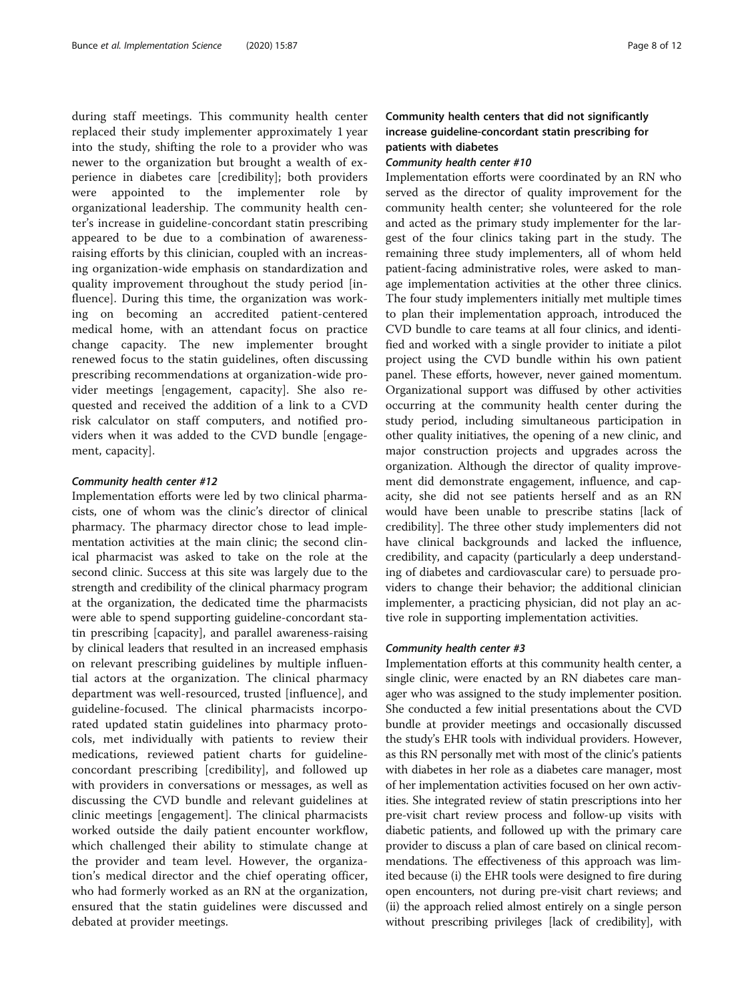during staff meetings. This community health center replaced their study implementer approximately 1 year into the study, shifting the role to a provider who was newer to the organization but brought a wealth of experience in diabetes care [credibility]; both providers were appointed to the implementer role by organizational leadership. The community health center's increase in guideline-concordant statin prescribing appeared to be due to a combination of awarenessraising efforts by this clinician, coupled with an increasing organization-wide emphasis on standardization and quality improvement throughout the study period [influence]. During this time, the organization was working on becoming an accredited patient-centered medical home, with an attendant focus on practice change capacity. The new implementer brought renewed focus to the statin guidelines, often discussing prescribing recommendations at organization-wide provider meetings [engagement, capacity]. She also requested and received the addition of a link to a CVD risk calculator on staff computers, and notified providers when it was added to the CVD bundle [engagement, capacity].

#### Community health center #12

Implementation efforts were led by two clinical pharmacists, one of whom was the clinic's director of clinical pharmacy. The pharmacy director chose to lead implementation activities at the main clinic; the second clinical pharmacist was asked to take on the role at the second clinic. Success at this site was largely due to the strength and credibility of the clinical pharmacy program at the organization, the dedicated time the pharmacists were able to spend supporting guideline-concordant statin prescribing [capacity], and parallel awareness-raising by clinical leaders that resulted in an increased emphasis on relevant prescribing guidelines by multiple influential actors at the organization. The clinical pharmacy department was well-resourced, trusted [influence], and guideline-focused. The clinical pharmacists incorporated updated statin guidelines into pharmacy protocols, met individually with patients to review their medications, reviewed patient charts for guidelineconcordant prescribing [credibility], and followed up with providers in conversations or messages, as well as discussing the CVD bundle and relevant guidelines at clinic meetings [engagement]. The clinical pharmacists worked outside the daily patient encounter workflow, which challenged their ability to stimulate change at the provider and team level. However, the organization's medical director and the chief operating officer, who had formerly worked as an RN at the organization, ensured that the statin guidelines were discussed and debated at provider meetings.

# Community health centers that did not significantly increase guideline-concordant statin prescribing for patients with diabetes

#### Community health center #10

Implementation efforts were coordinated by an RN who served as the director of quality improvement for the community health center; she volunteered for the role and acted as the primary study implementer for the largest of the four clinics taking part in the study. The remaining three study implementers, all of whom held patient-facing administrative roles, were asked to manage implementation activities at the other three clinics. The four study implementers initially met multiple times to plan their implementation approach, introduced the CVD bundle to care teams at all four clinics, and identified and worked with a single provider to initiate a pilot project using the CVD bundle within his own patient panel. These efforts, however, never gained momentum. Organizational support was diffused by other activities occurring at the community health center during the study period, including simultaneous participation in other quality initiatives, the opening of a new clinic, and major construction projects and upgrades across the organization. Although the director of quality improvement did demonstrate engagement, influence, and capacity, she did not see patients herself and as an RN would have been unable to prescribe statins [lack of credibility]. The three other study implementers did not have clinical backgrounds and lacked the influence, credibility, and capacity (particularly a deep understanding of diabetes and cardiovascular care) to persuade providers to change their behavior; the additional clinician implementer, a practicing physician, did not play an active role in supporting implementation activities.

## Community health center #3

Implementation efforts at this community health center, a single clinic, were enacted by an RN diabetes care manager who was assigned to the study implementer position. She conducted a few initial presentations about the CVD bundle at provider meetings and occasionally discussed the study's EHR tools with individual providers. However, as this RN personally met with most of the clinic's patients with diabetes in her role as a diabetes care manager, most of her implementation activities focused on her own activities. She integrated review of statin prescriptions into her pre-visit chart review process and follow-up visits with diabetic patients, and followed up with the primary care provider to discuss a plan of care based on clinical recommendations. The effectiveness of this approach was limited because (i) the EHR tools were designed to fire during open encounters, not during pre-visit chart reviews; and (ii) the approach relied almost entirely on a single person without prescribing privileges [lack of credibility], with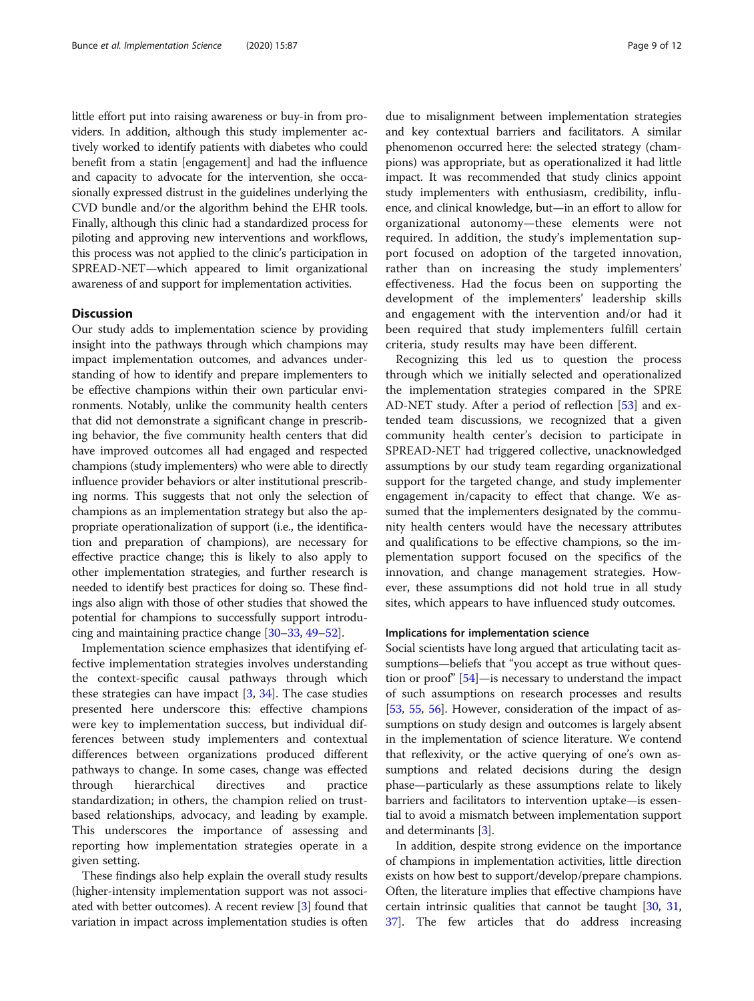little effort put into raising awareness or buy-in from providers. In addition, although this study implementer actively worked to identify patients with diabetes who could benefit from a statin [engagement] and had the influence and capacity to advocate for the intervention, she occasionally expressed distrust in the guidelines underlying the CVD bundle and/or the algorithm behind the EHR tools. Finally, although this clinic had a standardized process for piloting and approving new interventions and workflows, this process was not applied to the clinic's participation in SPREAD-NET—which appeared to limit organizational awareness of and support for implementation activities.

#### **Discussion**

Our study adds to implementation science by providing insight into the pathways through which champions may impact implementation outcomes, and advances understanding of how to identify and prepare implementers to be effective champions within their own particular environments. Notably, unlike the community health centers that did not demonstrate a significant change in prescribing behavior, the five community health centers that did have improved outcomes all had engaged and respected champions (study implementers) who were able to directly influence provider behaviors or alter institutional prescribing norms. This suggests that not only the selection of champions as an implementation strategy but also the appropriate operationalization of support (i.e., the identification and preparation of champions), are necessary for effective practice change; this is likely to also apply to other implementation strategies, and further research is needed to identify best practices for doing so. These findings also align with those of other studies that showed the potential for champions to successfully support introducing and maintaining practice change [[30](#page-10-0)–[33,](#page-10-0) [49](#page-11-0)–[52\]](#page-11-0).

Implementation science emphasizes that identifying effective implementation strategies involves understanding the context-specific causal pathways through which these strategies can have impact  $[3, 34]$  $[3, 34]$  $[3, 34]$  $[3, 34]$ . The case studies presented here underscore this: effective champions were key to implementation success, but individual differences between study implementers and contextual differences between organizations produced different pathways to change. In some cases, change was effected through hierarchical directives and practice standardization; in others, the champion relied on trustbased relationships, advocacy, and leading by example. This underscores the importance of assessing and reporting how implementation strategies operate in a given setting.

These findings also help explain the overall study results (higher-intensity implementation support was not associated with better outcomes). A recent review [\[3\]](#page-10-0) found that variation in impact across implementation studies is often due to misalignment between implementation strategies and key contextual barriers and facilitators. A similar phenomenon occurred here: the selected strategy (champions) was appropriate, but as operationalized it had little impact. It was recommended that study clinics appoint study implementers with enthusiasm, credibility, influence, and clinical knowledge, but—in an effort to allow for organizational autonomy—these elements were not required. In addition, the study's implementation support focused on adoption of the targeted innovation, rather than on increasing the study implementers' effectiveness. Had the focus been on supporting the development of the implementers' leadership skills and engagement with the intervention and/or had it been required that study implementers fulfill certain criteria, study results may have been different.

Recognizing this led us to question the process through which we initially selected and operationalized the implementation strategies compared in the SPRE AD-NET study. After a period of reflection [[53\]](#page-11-0) and extended team discussions, we recognized that a given community health center's decision to participate in SPREAD-NET had triggered collective, unacknowledged assumptions by our study team regarding organizational support for the targeted change, and study implementer engagement in/capacity to effect that change. We assumed that the implementers designated by the community health centers would have the necessary attributes and qualifications to be effective champions, so the implementation support focused on the specifics of the innovation, and change management strategies. However, these assumptions did not hold true in all study sites, which appears to have influenced study outcomes.

## Implications for implementation science

Social scientists have long argued that articulating tacit assumptions—beliefs that "you accept as true without question or proof" [[54](#page-11-0)]—is necessary to understand the impact of such assumptions on research processes and results [[53](#page-11-0), [55,](#page-11-0) [56](#page-11-0)]. However, consideration of the impact of assumptions on study design and outcomes is largely absent in the implementation of science literature. We contend that reflexivity, or the active querying of one's own assumptions and related decisions during the design phase—particularly as these assumptions relate to likely barriers and facilitators to intervention uptake—is essential to avoid a mismatch between implementation support and determinants [[3](#page-10-0)].

In addition, despite strong evidence on the importance of champions in implementation activities, little direction exists on how best to support/develop/prepare champions. Often, the literature implies that effective champions have certain intrinsic qualities that cannot be taught [[30](#page-10-0), [31](#page-10-0), [37](#page-10-0)]. The few articles that do address increasing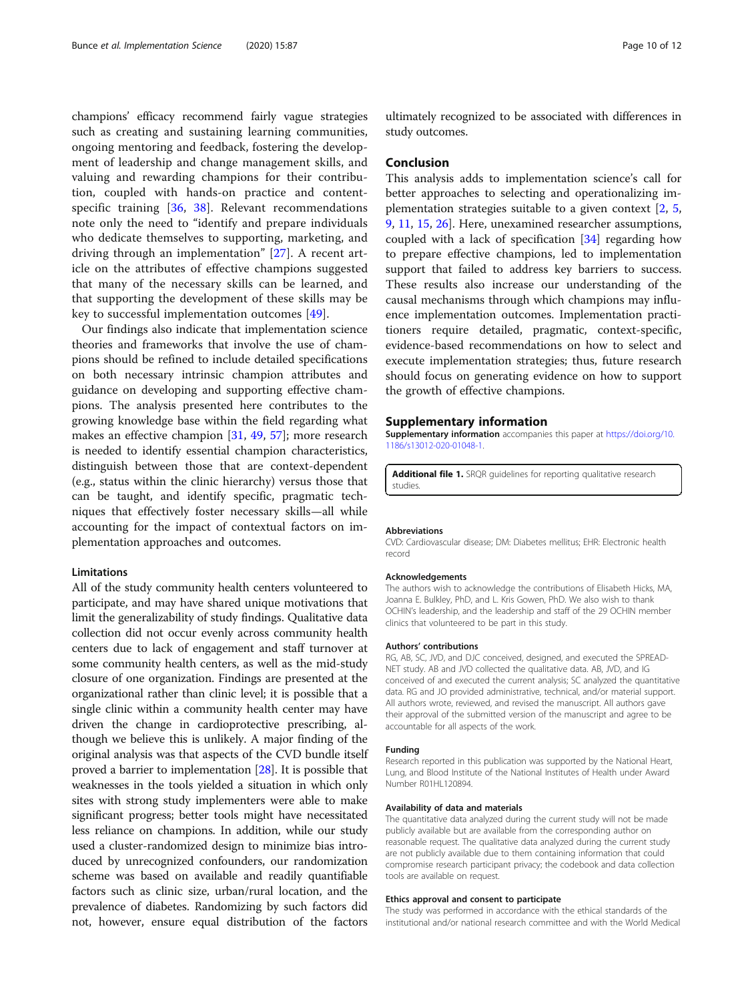champions' efficacy recommend fairly vague strategies such as creating and sustaining learning communities, ongoing mentoring and feedback, fostering the development of leadership and change management skills, and valuing and rewarding champions for their contribution, coupled with hands-on practice and content-specific training [[36](#page-10-0), [38](#page-10-0)]. Relevant recommendations note only the need to "identify and prepare individuals who dedicate themselves to supporting, marketing, and driving through an implementation" [\[27](#page-10-0)]. A recent article on the attributes of effective champions suggested that many of the necessary skills can be learned, and that supporting the development of these skills may be key to successful implementation outcomes [[49\]](#page-11-0).

Our findings also indicate that implementation science theories and frameworks that involve the use of champions should be refined to include detailed specifications on both necessary intrinsic champion attributes and guidance on developing and supporting effective champions. The analysis presented here contributes to the growing knowledge base within the field regarding what makes an effective champion [[31,](#page-10-0) [49,](#page-11-0) [57](#page-11-0)]; more research is needed to identify essential champion characteristics, distinguish between those that are context-dependent (e.g., status within the clinic hierarchy) versus those that can be taught, and identify specific, pragmatic techniques that effectively foster necessary skills—all while accounting for the impact of contextual factors on implementation approaches and outcomes.

## Limitations

All of the study community health centers volunteered to participate, and may have shared unique motivations that limit the generalizability of study findings. Qualitative data collection did not occur evenly across community health centers due to lack of engagement and staff turnover at some community health centers, as well as the mid-study closure of one organization. Findings are presented at the organizational rather than clinic level; it is possible that a single clinic within a community health center may have driven the change in cardioprotective prescribing, although we believe this is unlikely. A major finding of the original analysis was that aspects of the CVD bundle itself proved a barrier to implementation [\[28](#page-10-0)]. It is possible that weaknesses in the tools yielded a situation in which only sites with strong study implementers were able to make significant progress; better tools might have necessitated less reliance on champions. In addition, while our study used a cluster-randomized design to minimize bias introduced by unrecognized confounders, our randomization scheme was based on available and readily quantifiable factors such as clinic size, urban/rural location, and the prevalence of diabetes. Randomizing by such factors did not, however, ensure equal distribution of the factors

ultimately recognized to be associated with differences in study outcomes.

#### Conclusion

This analysis adds to implementation science's call for better approaches to selecting and operationalizing implementation strategies suitable to a given context [[2,](#page-10-0) [5](#page-10-0), [9,](#page-10-0) [11,](#page-10-0) [15](#page-10-0), [26](#page-10-0)]. Here, unexamined researcher assumptions, coupled with a lack of specification [[34](#page-10-0)] regarding how to prepare effective champions, led to implementation support that failed to address key barriers to success. These results also increase our understanding of the causal mechanisms through which champions may influence implementation outcomes. Implementation practitioners require detailed, pragmatic, context-specific, evidence-based recommendations on how to select and execute implementation strategies; thus, future research should focus on generating evidence on how to support the growth of effective champions.

#### Supplementary information

Supplementary information accompanies this paper at [https://doi.org/10.](https://doi.org/10.1186/s13012-020-01048-1) [1186/s13012-020-01048-1](https://doi.org/10.1186/s13012-020-01048-1).

Additional file 1. SRQR quidelines for reporting qualitative research studies

#### Abbreviations

CVD: Cardiovascular disease; DM: Diabetes mellitus; EHR: Electronic health record

#### Acknowledgements

The authors wish to acknowledge the contributions of Elisabeth Hicks, MA, Joanna E. Bulkley, PhD, and L. Kris Gowen, PhD. We also wish to thank OCHIN's leadership, and the leadership and staff of the 29 OCHIN member clinics that volunteered to be part in this study.

#### Authors' contributions

RG, AB, SC, JVD, and DJC conceived, designed, and executed the SPREAD-NET study. AB and JVD collected the qualitative data. AB, JVD, and IG conceived of and executed the current analysis; SC analyzed the quantitative data. RG and JO provided administrative, technical, and/or material support. All authors wrote, reviewed, and revised the manuscript. All authors gave their approval of the submitted version of the manuscript and agree to be accountable for all aspects of the work.

#### Funding

Research reported in this publication was supported by the National Heart, Lung, and Blood Institute of the National Institutes of Health under Award Number R01HL120894.

#### Availability of data and materials

The quantitative data analyzed during the current study will not be made publicly available but are available from the corresponding author on reasonable request. The qualitative data analyzed during the current study are not publicly available due to them containing information that could compromise research participant privacy; the codebook and data collection tools are available on request.

#### Ethics approval and consent to participate

The study was performed in accordance with the ethical standards of the institutional and/or national research committee and with the World Medical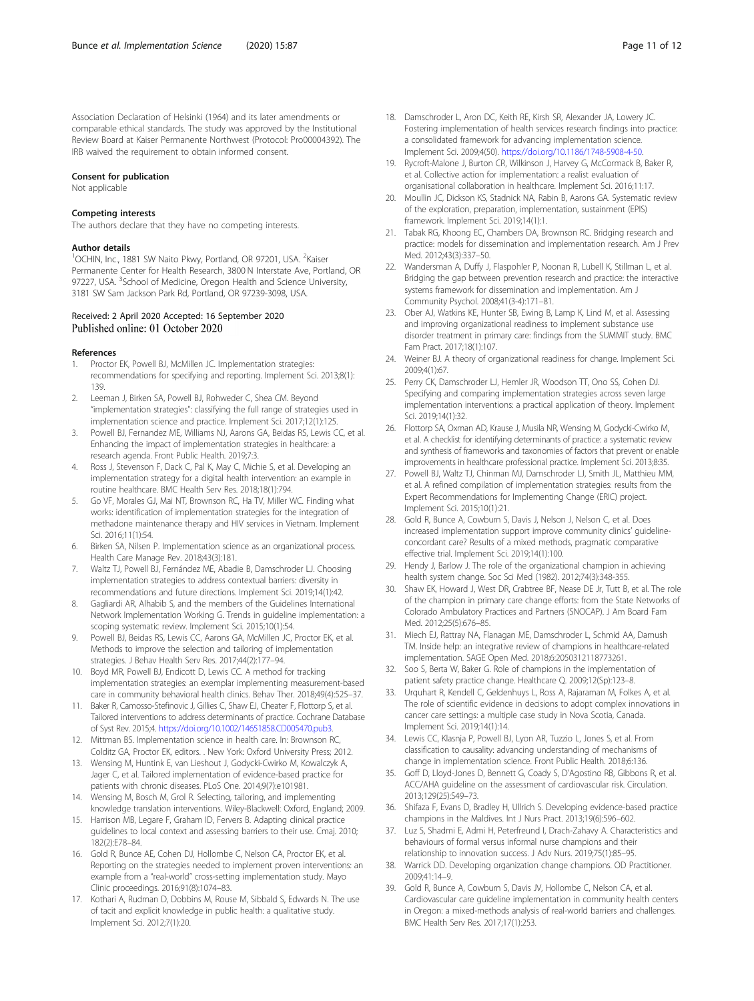<span id="page-10-0"></span>Association Declaration of Helsinki (1964) and its later amendments or comparable ethical standards. The study was approved by the Institutional Review Board at Kaiser Permanente Northwest (Protocol: Pro00004392). The IRB waived the requirement to obtain informed consent.

#### Consent for publication

Not applicable

#### Competing interests

The authors declare that they have no competing interests.

#### Author details

<sup>1</sup>OCHIN, Inc., 1881 SW Naito Pkwy, Portland, OR 97201, USA. <sup>2</sup>Kaiser Permanente Center for Health Research, 3800 N Interstate Ave, Portland, OR 97227, USA. <sup>3</sup>School of Medicine, Oregon Health and Science University, 3181 SW Sam Jackson Park Rd, Portland, OR 97239-3098, USA.

# Received: 2 April 2020 Accepted: 16 September 2020

#### References

- 1. Proctor EK, Powell BJ, McMillen JC. Implementation strategies: recommendations for specifying and reporting. Implement Sci. 2013;8(1): 139.
- 2. Leeman J, Birken SA, Powell BJ, Rohweder C, Shea CM. Beyond "implementation strategies": classifying the full range of strategies used in implementation science and practice. Implement Sci. 2017;12(1):125.
- Powell BJ, Fernandez ME, Williams NJ, Aarons GA, Beidas RS, Lewis CC, et al. Enhancing the impact of implementation strategies in healthcare: a research agenda. Front Public Health. 2019;7:3.
- Ross J, Stevenson F, Dack C, Pal K, May C, Michie S, et al. Developing an implementation strategy for a digital health intervention: an example in routine healthcare. BMC Health Serv Res. 2018;18(1):794.
- Go VF, Morales GJ, Mai NT, Brownson RC, Ha TV, Miller WC. Finding what works: identification of implementation strategies for the integration of methadone maintenance therapy and HIV services in Vietnam. Implement Sci. 2016;11(1):54.
- 6. Birken SA, Nilsen P. Implementation science as an organizational process. Health Care Manage Rev. 2018;43(3):181.
- 7. Waltz TJ, Powell BJ, Fernández ME, Abadie B, Damschroder LJ. Choosing implementation strategies to address contextual barriers: diversity in recommendations and future directions. Implement Sci. 2019;14(1):42.
- 8. Gagliardi AR, Alhabib S, and the members of the Guidelines International Network Implementation Working G. Trends in guideline implementation: a scoping systematic review. Implement Sci. 2015;10(1):54.
- Powell BJ, Beidas RS, Lewis CC, Aarons GA, McMillen JC, Proctor EK, et al. Methods to improve the selection and tailoring of implementation strategies. J Behav Health Serv Res. 2017;44(2):177–94.
- 10. Boyd MR, Powell BJ, Endicott D, Lewis CC. A method for tracking implementation strategies: an exemplar implementing measurement-based care in community behavioral health clinics. Behav Ther. 2018;49(4):525–37.
- 11. Baker R, Camosso-Stefinovic J, Gillies C, Shaw EJ, Cheater F, Flottorp S, et al. Tailored interventions to address determinants of practice. Cochrane Database of Syst Rev. 2015;4. <https://doi.org/10.1002/14651858.CD005470.pub3>.
- 12. Mittman BS. Implementation science in health care. In: Brownson RC, Colditz GA, Proctor EK, editors. . New York: Oxford University Press; 2012.
- 13. Wensing M, Huntink E, van Lieshout J, Godycki-Cwirko M, Kowalczyk A, Jager C, et al. Tailored implementation of evidence-based practice for patients with chronic diseases. PLoS One. 2014;9(7):e101981.
- 14. Wensing M, Bosch M, Grol R. Selecting, tailoring, and implementing knowledge translation interventions. Wiley-Blackwell: Oxford, England; 2009.
- 15. Harrison MB, Legare F, Graham ID, Fervers B. Adapting clinical practice guidelines to local context and assessing barriers to their use. Cmaj. 2010; 182(2):E78–84.
- 16. Gold R, Bunce AE, Cohen DJ, Hollombe C, Nelson CA, Proctor EK, et al. Reporting on the strategies needed to implement proven interventions: an example from a "real-world" cross-setting implementation study. Mayo Clinic proceedings. 2016;91(8):1074–83.
- 17. Kothari A, Rudman D, Dobbins M, Rouse M, Sibbald S, Edwards N. The use of tacit and explicit knowledge in public health: a qualitative study. Implement Sci. 2012;7(1):20.
- 18. Damschroder L, Aron DC, Keith RE, Kirsh SR, Alexander JA, Lowery JC. Fostering implementation of health services research findings into practice: a consolidated framework for advancing implementation science. Implement Sci. 2009;4(50). <https://doi.org/10.1186/1748-5908-4-50>.
- 19. Rycroft-Malone J, Burton CR, Wilkinson J, Harvey G, McCormack B, Baker R, et al. Collective action for implementation: a realist evaluation of organisational collaboration in healthcare. Implement Sci. 2016;11:17.
- 20. Moullin JC, Dickson KS, Stadnick NA, Rabin B, Aarons GA. Systematic review of the exploration, preparation, implementation, sustainment (EPIS) framework. Implement Sci. 2019;14(1):1.
- 21. Tabak RG, Khoong EC, Chambers DA, Brownson RC. Bridging research and practice: models for dissemination and implementation research. Am J Prev Med. 2012;43(3):337–50.
- 22. Wandersman A, Duffy J, Flaspohler P, Noonan R, Lubell K, Stillman L, et al. Bridging the gap between prevention research and practice: the interactive systems framework for dissemination and implementation. Am J Community Psychol. 2008;41(3-4):171–81.
- 23. Ober AJ, Watkins KE, Hunter SB, Ewing B, Lamp K, Lind M, et al. Assessing and improving organizational readiness to implement substance use disorder treatment in primary care: findings from the SUMMIT study. BMC Fam Pract. 2017;18(1):107.
- 24. Weiner BJ. A theory of organizational readiness for change. Implement Sci. 2009;4(1):67.
- 25. Perry CK, Damschroder LJ, Hemler JR, Woodson TT, Ono SS, Cohen DJ. Specifying and comparing implementation strategies across seven large implementation interventions: a practical application of theory. Implement Sci. 2019;14(1):32.
- 26. Flottorp SA, Oxman AD, Krause J, Musila NR, Wensing M, Godycki-Cwirko M, et al. A checklist for identifying determinants of practice: a systematic review and synthesis of frameworks and taxonomies of factors that prevent or enable improvements in healthcare professional practice. Implement Sci. 2013;8:35.
- 27. Powell BJ, Waltz TJ, Chinman MJ, Damschroder LJ, Smith JL, Matthieu MM, et al. A refined compilation of implementation strategies: results from the Expert Recommendations for Implementing Change (ERIC) project. Implement Sci. 2015;10(1):21.
- 28. Gold R, Bunce A, Cowburn S, Davis J, Nelson J, Nelson C, et al. Does increased implementation support improve community clinics' guidelineconcordant care? Results of a mixed methods, pragmatic comparative effective trial. Implement Sci. 2019;14(1):100.
- 29. Hendy J, Barlow J. The role of the organizational champion in achieving health system change. Soc Sci Med (1982). 2012;74(3):348-355.
- 30. Shaw EK, Howard J, West DR, Crabtree BF, Nease DE Jr, Tutt B, et al. The role of the champion in primary care change efforts: from the State Networks of Colorado Ambulatory Practices and Partners (SNOCAP). J Am Board Fam Med. 2012;25(5):676–85.
- 31. Miech EJ, Rattray NA, Flanagan ME, Damschroder L, Schmid AA, Damush TM. Inside help: an integrative review of champions in healthcare-related implementation. SAGE Open Med. 2018;6:2050312118773261.
- 32. Soo S, Berta W, Baker G. Role of champions in the implementation of patient safety practice change. Healthcare Q. 2009;12(Sp):123–8.
- 33. Urquhart R, Kendell C, Geldenhuys L, Ross A, Rajaraman M, Folkes A, et al. The role of scientific evidence in decisions to adopt complex innovations in cancer care settings: a multiple case study in Nova Scotia, Canada. Implement Sci. 2019;14(1):14.
- 34. Lewis CC, Klasnja P, Powell BJ, Lyon AR, Tuzzio L, Jones S, et al. From classification to causality: advancing understanding of mechanisms of change in implementation science. Front Public Health. 2018;6:136.
- 35. Goff D, Lloyd-Jones D, Bennett G, Coady S, D'Agostino RB, Gibbons R, et al. ACC/AHA guideline on the assessment of cardiovascular risk. Circulation. 2013;129(25):S49–73.
- 36. Shifaza F, Evans D, Bradley H, Ullrich S. Developing evidence-based practice champions in the Maldives. Int J Nurs Pract. 2013;19(6):596–602.
- 37. Luz S, Shadmi E, Admi H, Peterfreund I, Drach-Zahavy A. Characteristics and behaviours of formal versus informal nurse champions and their relationship to innovation success. J Adv Nurs. 2019;75(1):85–95.
- 38. Warrick DD. Developing organization change champions. OD Practitioner. 2009;41:14–9.
- 39. Gold R, Bunce A, Cowburn S, Davis JV, Hollombe C, Nelson CA, et al. Cardiovascular care guideline implementation in community health centers in Oregon: a mixed-methods analysis of real-world barriers and challenges. BMC Health Serv Res. 2017;17(1):253.